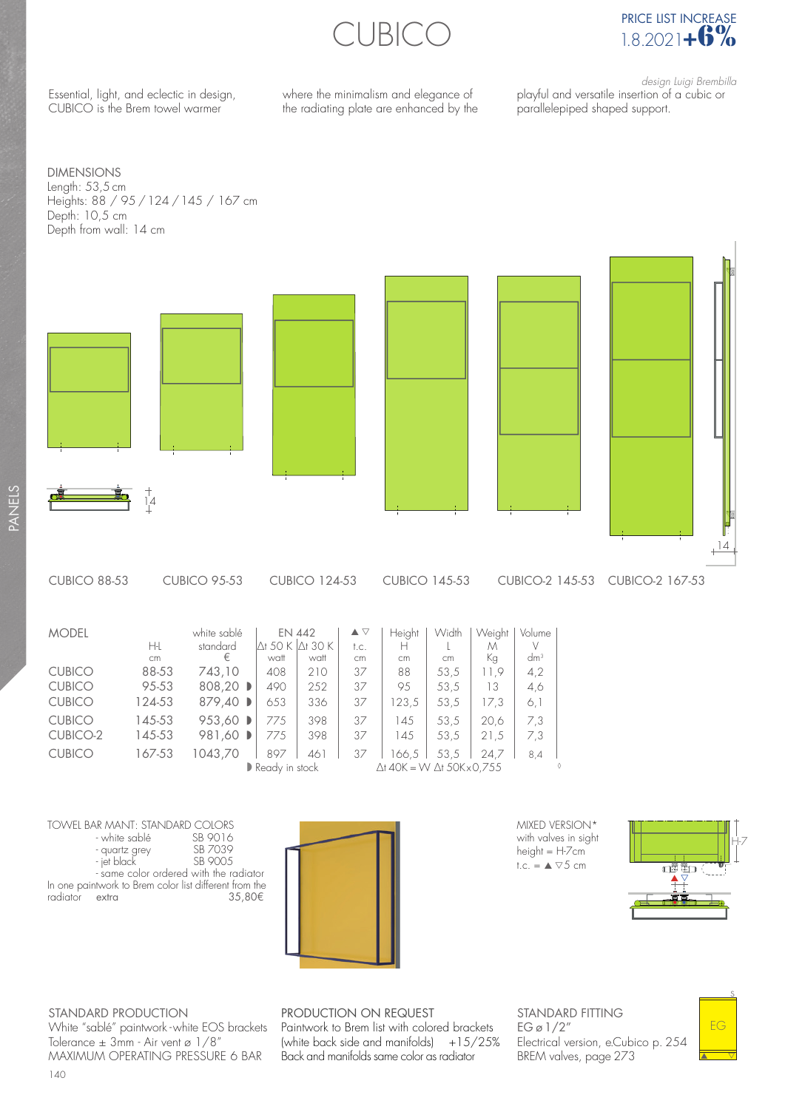CUBICO



Essential, light, and eclectic in design, CUBICO is the Brem towel warmer

where the minimalism and elegance of the radiating plate are enhanced by the

design Luigi Brembilla playful and versatile insertion of a cubic or parallelepiped shaped support.

DIMENSIONS Length: 53,5 cm Heights: 88 / 95 / 124 / 145 / 167 cm Depth: 10,5 cm Depth from wall: 14 cm





■ Ready in stock △t 40K = W ∆t 50Kx0,755 MODEL white sablé EN 442 ▲ ▽ Height Width Weight Volume H-L standard  $\Delta t$  50 K  $\Delta t$  30 K t.c. H H L M V V cm € watt cm cm cm Kg  $\frac{dm}{dm^3}$ cm € watt watt cm cm cm Kg dm3 CUBICO 88-53 743,10 408 210 37 88 53,5 11,9 4,2 CUBICO 95-53 808,20 D 490 252 37 95 53,5 13 4,6 CUBICO 124-53 879,40 D 653 336 37 123,5 53,5 17,3 6,1 CUBICO 145-53 953,60 D 775 398 37 145 53,5 20,6 7,3 CUBICO-2 145-53 981,60 D 775 | 398 | 37 | 145 | 53,5 | 21,5 | 7,3 CUBICO 167-53 1043,70 | 897 | 461 | 37 | 166,5 | 53,5 | 24,7 | 8,4

TOWEL BAR MANT: STANDARD COLORS - white sablé SB 9016<br>- quartz grey SB 7039 - quartz grey SB 7039 - jet black - same color ordered with the radiator In one paintwork to Brem color list different from the radiator extra  $35,80 \in$ radiator extra



MIXED VERSION\* with valves in sight  $height = H-7cm$ t.c. =  $\triangle$   $\nabla$ 5 cm



STANDARD PRODUCTION White "sablé" paintwork - white EOS brackets Tolerance  $\pm$  3mm - Air vent ø 1/8" MAXIMUM OPERATING PRESSURE 6 BAR

PRODUCTION ON REQUEST Paintwork to Brem list with colored brackets (white back side and manifolds)  $+15/25%$ Back and manifolds same color as radiator

STANDARD FITTING  $EG \varnothing$  1/2" Electrical version, e.Cubico p. 254 BREM valves, page 273

s EG ▲ △